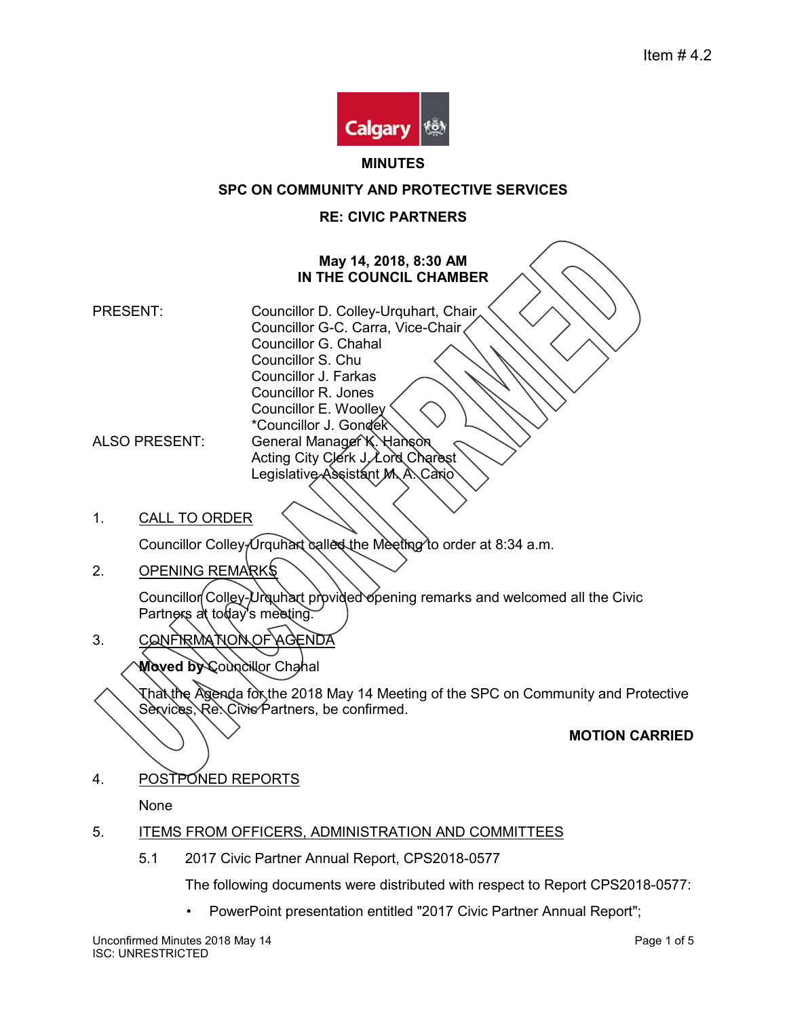

#### **MINUTES**

### **SPC ON COMMUNITY AND PROTECTIVE SERVICES**

### **RE: CIVIC PARTNERS**

## **May 14, 2018, 8:30 AM IN THE COUNCIL CHAMBER**

- PRESENT: Councillor D. Colley-Urquhart, Chair Councillor G-C. Carra, Vice-Chair Councillor G. Chahal Councillor S. Chu Councillor J. Farkas Councillor R. Jones Councillor E. Woolley \*Councillor J. Gondek ALSO PRESENT: General Manager K. Hanson Acting City Clerk J. Lord Charest Legislative Assistant M. A. Cario
- 1. CALL TO ORDER

Councillor Colley-Urquhart called the Meeting to order at 8:34 a.m.

2. OPENING REMARKS

Councillor Colley-Urquhart provided opening remarks and welcomed all the Civic Partners at today's meeting.

3. CONFIRMATION OF AGENDA

Moved by Councillor Chahal

That the Agenda for the 2018 May 14 Meeting of the SPC on Community and Protective Services, Re. Civie Partners, be confirmed.

#### **MOTION CARRIED**

4. POSTPONED REPORTS

None

## 5. ITEMS FROM OFFICERS, ADMINISTRATION AND COMMITTEES

5.1 2017 Civic Partner Annual Report, CPS2018-0577

The following documents were distributed with respect to Report CPS2018-0577:

• PowerPoint presentation entitled "2017 Civic Partner Annual Report";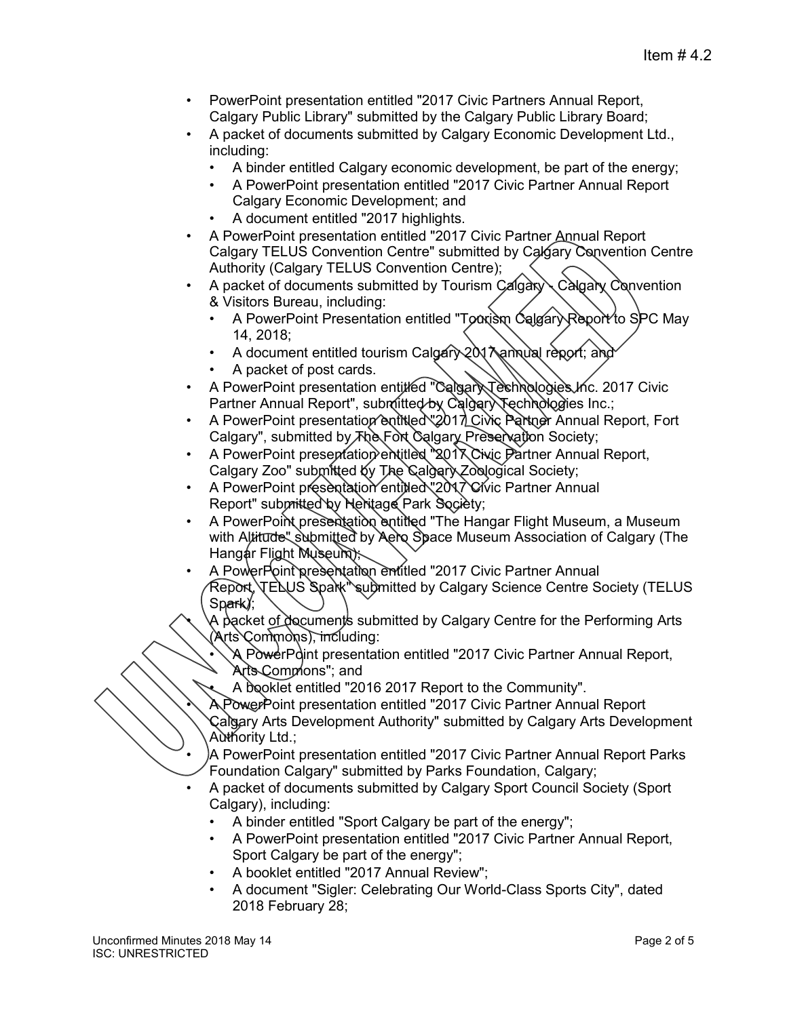- PowerPoint presentation entitled "2017 Civic Partners Annual Report, Calgary Public Library" submitted by the Calgary Public Library Board;
- A packet of documents submitted by Calgary Economic Development Ltd., including:
	- A binder entitled Calgary economic development, be part of the energy;
	- A PowerPoint presentation entitled "2017 Civic Partner Annual Report Calgary Economic Development; and
	- A document entitled "2017 highlights.
- A PowerPoint presentation entitled "2017 Civic Partner Annual Report Calgary TELUS Convention Centre" submitted by Calgary Convention Centre Authority (Calgary TELUS Convention Centre);
- A packet of documents submitted by Tourism Calgary Calgary Convention & Visitors Bureau, including:
	- A PowerPoint Presentation entitled "To axism Calgary Report to SPC May 14, 2018;
	- A document entitled tourism Calgary 2017 annual report; and
	- A packet of post cards.
- A PowerPoint presentation entitled "Calgary Technologies Inc. 2017 Civic Partner Annual Report", submitted by Calgary Technologies Inc.;
- A PowerPoint presentation entitled "2017 Civic Partner Annual Report, Fort Calgary", submitted by  $\bar{A}$  Reservation Society;
- A PowerPoint presentation entitled "2017 Civic Partner Annual Report, Calgary Zoo" submitted by The Calgary Zoological Society;
- A PowerPoint presentation entitled "2017 Civic Partner Annual Report" submitted by Heritage Park Society;
- A PowerPoint presentation entitled "The Hangar Flight Museum, a Museum with Altitude" submitted by Aero Space Museum Association of Calgary (The Hangar Flight Museum);
- A PowerPoint presentation entitled "2017 Civic Partner Annual Report, TELUS Spark submitted by Calgary Science Centre Society (TELUS Spark);
	- A packet of documents submitted by Calgary Centre for the Performing Arts (Arts Commons), including:
		- A PowerPoint presentation entitled "2017 Civic Partner Annual Report, Arts Commons"; and
		- A booklet entitled "2016 2017 Report to the Community".
	- A PowerPoint presentation entitled "2017 Civic Partner Annual Report Calgary Arts Development Authority" submitted by Calgary Arts Development Authority Ltd.;
- A PowerPoint presentation entitled "2017 Civic Partner Annual Report Parks Foundation Calgary" submitted by Parks Foundation, Calgary;
- A packet of documents submitted by Calgary Sport Council Society (Sport Calgary), including:
	- A binder entitled "Sport Calgary be part of the energy";
	- A PowerPoint presentation entitled "2017 Civic Partner Annual Report, Sport Calgary be part of the energy";
	- A booklet entitled "2017 Annual Review";
	- A document "Sigler: Celebrating Our World-Class Sports City", dated 2018 February 28;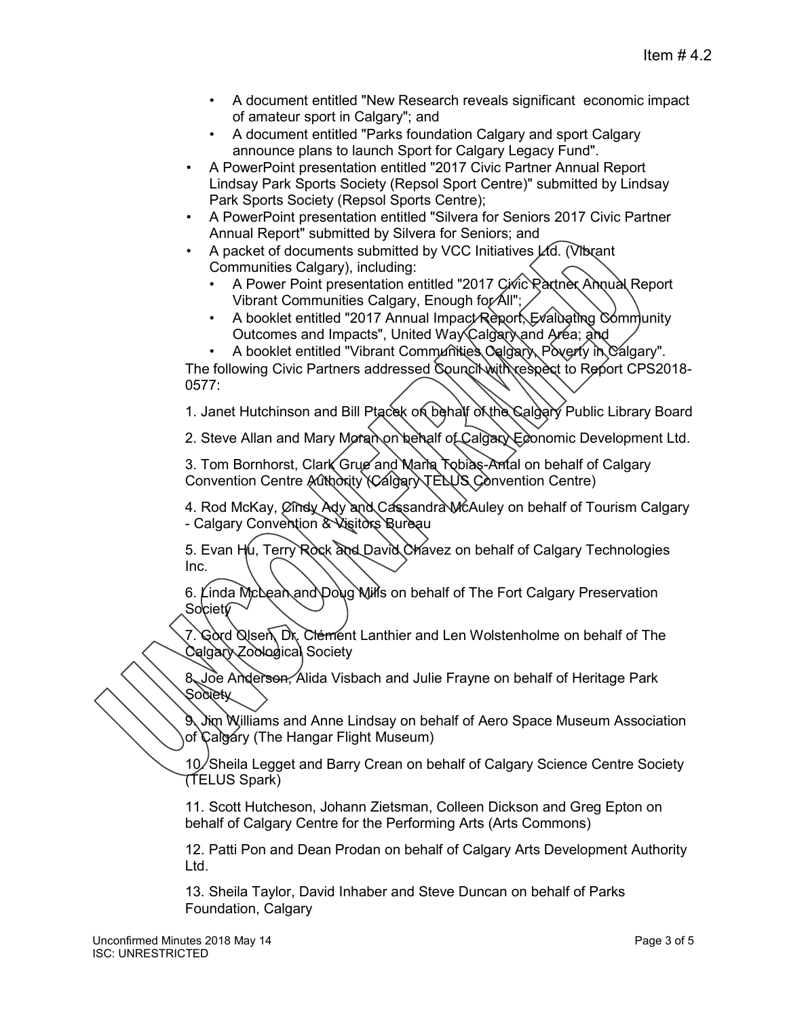- A document entitled "New Research reveals significant economic impact of amateur sport in Calgary"; and
- A document entitled "Parks foundation Calgary and sport Calgary announce plans to launch Sport for Calgary Legacy Fund".
- A PowerPoint presentation entitled "2017 Civic Partner Annual Report Lindsay Park Sports Society (Repsol Sport Centre)" submitted by Lindsay Park Sports Society (Repsol Sports Centre);
- A PowerPoint presentation entitled "Silvera for Seniors 2017 Civic Partner Annual Report" submitted by Silvera for Seniors; and
- A packet of documents submitted by VCC Initiatives  $\cancel{\perp}$ d. (Vibrant Communities Calgary), including:
	- A Power Point presentation entitled "2017 Civic Rattner Annual Report Vibrant Communities Calgary, Enough for All";
	- A booklet entitled "2017 Annual Impact Report, Evaluating Community Outcomes and Impacts", United Way Calgary and Area; and
	- A booklet entitled "Vibrant Communities Calgary, Poverty in Calgary".

The following Civic Partners addressed Council with respect to Report CPS2018-0577:

1. Janet Hutchinson and Bill Ptacek on behalf of the Calgary Public Library Board

2. Steve Allan and Mary Moran on behalf of Calgary Economic Development Ltd.

3. Tom Bornhorst, Clark Grue and Maria Tobias-Antal on behalf of Calgary Convention Centre Authority (Calgary TELUS Convention Centre)

4. Rod McKay, Cindy Ady and Cassandra McAuley on behalf of Tourism Calgary - Calgary Convention & Visitors Bureau

5. Evan Hu, Terry Rock and David Chavez on behalf of Calgary Technologies Inc.

6. Linda McLean and Doug Mills on behalf of The Fort Calgary Preservation Society

7. Gord Qisen, Dr. Clément Lanthier and Len Wolstenholme on behalf of The Calgary Zoological Society

8. Joe Anderson, Alida Visbach and Julie Frayne on behalf of Heritage Park Society

9. Jim Williams and Anne Lindsay on behalf of Aero Space Museum Association of Calgary (The Hangar Flight Museum)

10. Sheila Legget and Barry Crean on behalf of Calgary Science Centre Society (TELUS Spark)

11. Scott Hutcheson, Johann Zietsman, Colleen Dickson and Greg Epton on behalf of Calgary Centre for the Performing Arts (Arts Commons)

12. Patti Pon and Dean Prodan on behalf of Calgary Arts Development Authority Ltd.

13. Sheila Taylor, David Inhaber and Steve Duncan on behalf of Parks Foundation, Calgary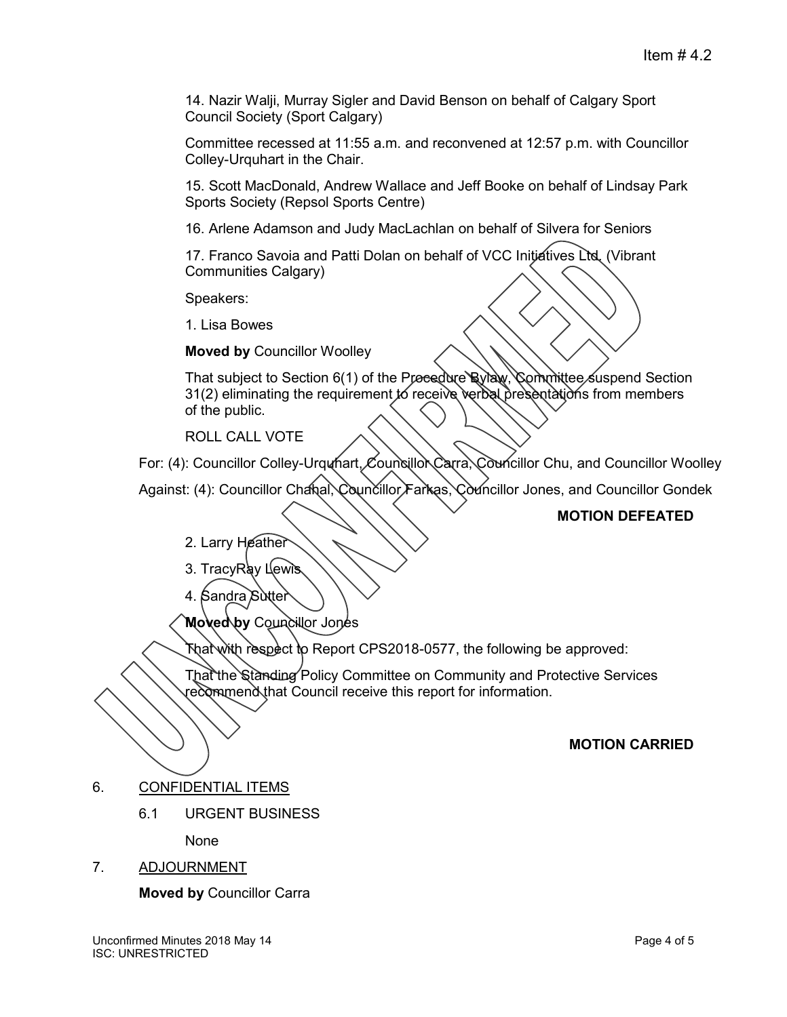14. Nazir Walji, Murray Sigler and David Benson on behalf of Calgary Sport Council Society (Sport Calgary)

Committee recessed at 11:55 a.m. and reconvened at 12:57 p.m. with Councillor Colley-Urquhart in the Chair.

15. Scott MacDonald, Andrew Wallace and Jeff Booke on behalf of Lindsay Park Sports Society (Repsol Sports Centre)

16. Arlene Adamson and Judy MacLachlan on behalf of Silvera for Seniors

17. Franco Savoia and Patti Dolan on behalf of VCC Initiatives Ltd. (Vibrant Communities Calgary)

Speakers:

1. Lisa Bowes

**Moved by** Councillor Woolley

That subject to Section 6(1) of the Procedure Bylaw, Committee suspend Section 31(2) eliminating the requirement to receive verbal presentations from members of the public.

ROLL CALL VOTE

For: (4): Councillor Colley-Urquhart, Councillor Carra, Councillor Chu, and Councillor Woolley

Against: (4): Councillor Chanal, Councillor Farkas, Councillor Jones, and Councillor Gondek

# **MOTION DEFEATED**

- 2. Larry Heather
- 3. TracyRay Lewis
- 4. Sandra Sutter

**Moved by** Councillor Jones

That with respect to Report CPS2018-0577, the following be approved:

That the Standing Policy Committee on Community and Protective Services recommend that Council receive this report for information.

## **MOTION CARRIED**

- 6. CONFIDENTIAL ITEMS
	- 6.1 URGENT BUSINESS

None

7. ADJOURNMENT

**Moved by** Councillor Carra